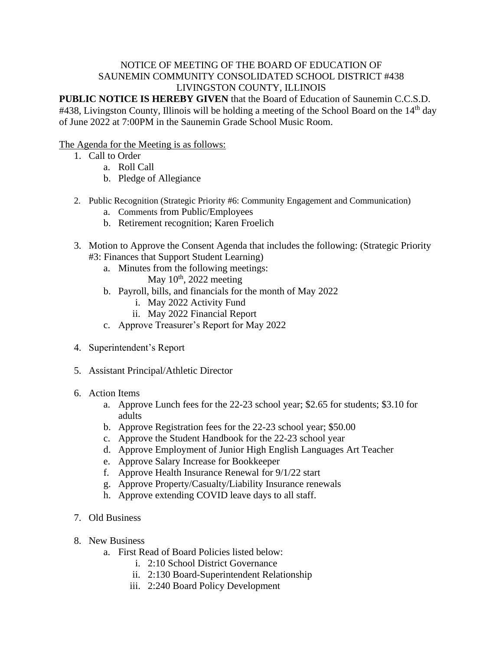## NOTICE OF MEETING OF THE BOARD OF EDUCATION OF SAUNEMIN COMMUNITY CONSOLIDATED SCHOOL DISTRICT #438 LIVINGSTON COUNTY, ILLINOIS

**PUBLIC NOTICE IS HEREBY GIVEN** that the Board of Education of Saunemin C.C.S.D. #438, Livingston County, Illinois will be holding a meeting of the School Board on the 14<sup>th</sup> day of June 2022 at 7:00PM in the Saunemin Grade School Music Room.

## The Agenda for the Meeting is as follows:

- 1. Call to Order
	- a. Roll Call
	- b. Pledge of Allegiance
- 2. Public Recognition (Strategic Priority #6: Community Engagement and Communication)
	- a. Comments from Public/Employees
	- b. Retirement recognition; Karen Froelich
- 3. Motion to Approve the Consent Agenda that includes the following: (Strategic Priority #3: Finances that Support Student Learning)
	- a. Minutes from the following meetings:
		- May  $10^{th}$ , 2022 meeting
	- b. Payroll, bills, and financials for the month of May 2022
		- i. May 2022 Activity Fund
		- ii. May 2022 Financial Report
	- c. Approve Treasurer's Report for May 2022
- 4. Superintendent's Report
- 5. Assistant Principal/Athletic Director
- 6. Action Items
	- a. Approve Lunch fees for the 22-23 school year; \$2.65 for students; \$3.10 for adults
	- b. Approve Registration fees for the 22-23 school year; \$50.00
	- c. Approve the Student Handbook for the 22-23 school year
	- d. Approve Employment of Junior High English Languages Art Teacher
	- e. Approve Salary Increase for Bookkeeper
	- f. Approve Health Insurance Renewal for 9/1/22 start
	- g. Approve Property/Casualty/Liability Insurance renewals
	- h. Approve extending COVID leave days to all staff.
- 7. Old Business
- 8. New Business
	- a. First Read of Board Policies listed below:
		- i. 2:10 School District Governance
		- ii. 2:130 Board-Superintendent Relationship
		- iii. 2:240 Board Policy Development